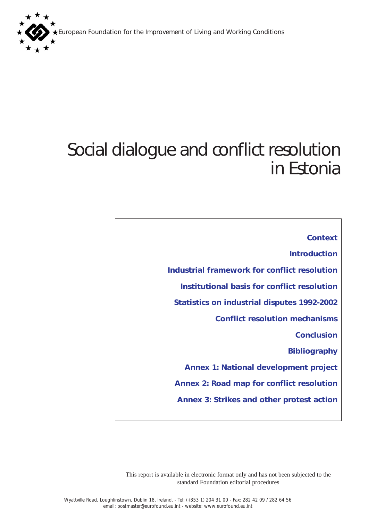European Foundation for the Improvement of Living and Working Conditions



# Social dialogue and conflict resolution in Estonia

*[Context](#page-1-0) [Introduction](#page-1-0) [Industrial framework for conflict resolution](#page-1-0) [Institutional basis for conflict resolution](#page-4-0) [Statistics on industrial disputes 1992-2002](#page-9-0) [Conflict resolution mechanisms](#page-10-0) [Conclusion](#page-12-0) [Bibliography](#page-13-0) [Annex 1: National development project](#page-14-0) [Annex 2: Road map for conflict resolution](#page-17-0) [Annex 3: Strikes and other protest action](#page-18-0)* 

This report is available in electronic format only and has not been subjected to the standard Foundation editorial procedures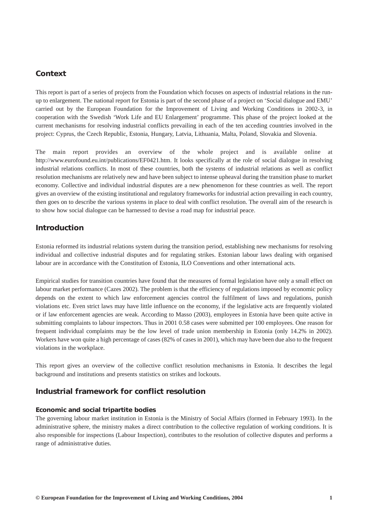# <span id="page-1-0"></span>*Context*

This report is part of a series of projects from the Foundation which focuses on aspects of industrial relations in the runup to enlargement. The national report for Estonia is part of the second phase of a project on 'Social dialogue and EMU' carried out by the European Foundation for the Improvement of Living and Working Conditions in 2002-3, in cooperation with the Swedish 'Work Life and EU Enlargement' programme. This phase of the project looked at the current mechanisms for resolving industrial conflicts prevailing in each of the ten acceding countries involved in the project: Cyprus, the Czech Republic, Estonia, Hungary, Latvia, Lithuania, Malta, Poland, Slovakia and Slovenia.

The main report provides an overview of the whole project and is available online at http://www.eurofound.eu.int/publications/EF0421.htm. It looks specifically at the role of social dialogue in resolving industrial relations conflicts. In most of these countries, both the systems of industrial relations as well as conflict resolution mechanisms are relatively new and have been subject to intense upheaval during the transition phase to market economy. Collective and individual industrial disputes are a new phenomenon for these countries as well. The report gives an overview of the existing institutional and regulatory frameworks for industrial action prevailing in each country, then goes on to describe the various systems in place to deal with conflict resolution. The overall aim of the research is to show how social dialogue can be harnessed to devise a road map for industrial peace.

# *Introduction*

Estonia reformed its industrial relations system during the transition period, establishing new mechanisms for resolving individual and collective industrial disputes and for regulating strikes. Estonian labour laws dealing with organised labour are in accordance with the Constitution of Estonia, ILO Conventions and other international acts.

Empirical studies for transition countries have found that the measures of formal legislation have only a small effect on labour market performance (Cazes 2002). The problem is that the efficiency of regulations imposed by economic policy depends on the extent to which law enforcement agencies control the fulfilment of laws and regulations, punish violations etc. Even strict laws may have little influence on the economy, if the legislative acts are frequently violated or if law enforcement agencies are weak. According to Masso (2003), employees in Estonia have been quite active in submitting complaints to labour inspectors. Thus in 2001 0.58 cases were submitted per 100 employees. One reason for frequent individual complaints may be the low level of trade union membership in Estonia (only 14.2% in 2002). Workers have won quite a high percentage of cases (82% of cases in 2001), which may have been due also to the frequent violations in the workplace.

This report gives an overview of the collective conflict resolution mechanisms in Estonia. It describes the legal background and institutions and presents statistics on strikes and lockouts.

# *Industrial framework for conflict resolution*

## *Economic and social tripartite bodies*

The governing labour market institution in Estonia is the Ministry of Social Affairs (formed in February 1993). In the administrative sphere, the ministry makes a direct contribution to the collective regulation of working conditions. It is also responsible for inspections (Labour Inspection), contributes to the resolution of collective disputes and performs a range of administrative duties.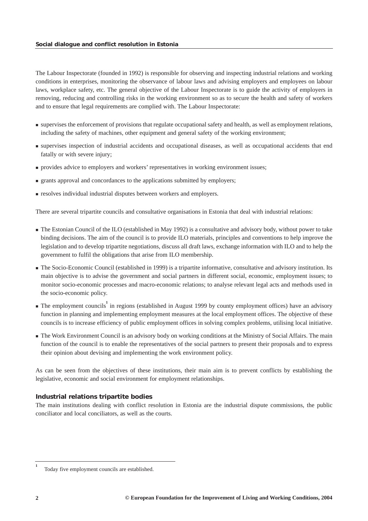The Labour Inspectorate (founded in 1992) is responsible for observing and inspecting industrial relations and working conditions in enterprises, monitoring the observance of labour laws and advising employers and employees on labour laws, workplace safety, etc. The general objective of the Labour Inspectorate is to guide the activity of employers in removing, reducing and controlling risks in the working environment so as to secure the health and safety of workers and to ensure that legal requirements are complied with. The Labour Inspectorate:

- supervises the enforcement of provisions that regulate occupational safety and health, as well as employment relations, including the safety of machines, other equipment and general safety of the working environment;
- supervises inspection of industrial accidents and occupational diseases, as well as occupational accidents that end fatally or with severe injury;
- provides advice to employers and workers' representatives in working environment issues;
- **F** grants approval and concordances to the applications submitted by employers;
- resolves individual industrial disputes between workers and employers.

There are several tripartite councils and consultative organisations in Estonia that deal with industrial relations:

- The Estonian Council of the ILO (established in May 1992) is a consultative and advisory body, without power to take binding decisions. The aim of the council is to provide ILO materials, principles and conventions to help improve the legislation and to develop tripartite negotiations, discuss all draft laws, exchange information with ILO and to help the government to fulfil the obligations that arise from ILO membership.
- The Socio-Economic Council (established in 1999) is a tripartite informative, consultative and advisory institution. Its main objective is to advise the government and social partners in different social, economic, employment issues; to monitor socio-economic processes and macro-economic relations; to analyse relevant legal acts and methods used in the socio-economic policy.
- **The employment councils** in regions (established in August 1999 by county employment offices) have an advisory function in planning and implementing employment measures at the local employment offices. The objective of these councils is to increase efficiency of public employment offices in solving complex problems, utilising local initiative.
- The Work Environment Council is an advisory body on working conditions at the Ministry of Social Affairs. The main function of the council is to enable the representatives of the social partners to present their proposals and to express their opinion about devising and implementing the work environment policy.

As can be seen from the objectives of these institutions, their main aim is to prevent conflicts by establishing the legislative, economic and social environment for employment relationships.

## *Industrial relations tripartite bodies*

The main institutions dealing with conflict resolution in Estonia are the industrial dispute commissions, the public conciliator and local conciliators, as well as the courts.

**1**

Today five employment councils are established.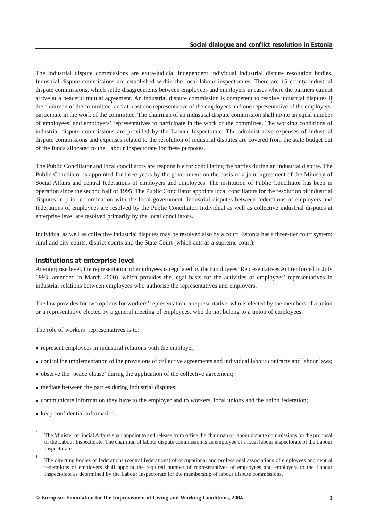The industrial dispute commissions are extra-judicial independent individual industrial dispute resolution bodies. Industrial dispute commissions are established within the local labour inspectorates. There are 15 county industrial dispute commissions, which settle disagreements between employees and employers in cases where the partners cannot arrive at a peaceful mutual agreement. An industrial dispute commission is competent to resolve industrial disputes if the chairman of the committee and at least one representative of the employees and one representative of the employers<sup>3</sup> participate in the work of the committee. The chairman of an industrial dispute commission shall invite an equal number of employees' and employers' representatives to participate in the work of the committee. The working conditions of industrial dispute commissions are provided by the Labour Inspectorate. The administrative expenses of industrial dispute commissions and expenses related to the resolution of industrial disputes are covered from the state budget out of the funds allocated to the Labour Inspectorate for these purposes.

The Public Conciliator and local conciliators are responsible for conciliating the parties during an industrial dispute. The Public Conciliator is appointed for three years by the government on the basis of a joint agreement of the Ministry of Social Affairs and central federations of employers and employees. The institution of Public Conciliator has been in operation since the second half of 1995. The Public Conciliator appoints local conciliators for the resolution of industrial disputes in prior co-ordination with the local government. Industrial disputes between federations of employers and federations of employees are resolved by the Public Conciliator. Individual as well as collective industrial disputes at enterprise level are resolved primarily by the local conciliators.

Individual as well as collective industrial disputes may be resolved also by a court. Estonia has a three-tier court system: rural and city courts, district courts and the State Court (which acts as a supreme court).

#### *Institutions at enterprise level*

At enterprise level, the representation of employees is regulated by the Employees' Representatives Act (enforced in July 1993, amended in March 2000), which provides the legal basis for the activities of employees' representatives in industrial relations between employees who authorise the representatives and employers.

The law provides for two options for workers' representation: a representative, who is elected by the members of a union or a representative elected by a general meeting of employees, who do not belong to a union of employees.

The role of workers' representatives is to:

- **represent employees in industrial relations with the employer;**
- control the implementation of the provisions of collective agreements and individual labour contracts and labour laws;
- observe the 'peace clause' during the application of the collective agreement;
- $\blacksquare$  mediate between the parties during industrial disputes;
- communicate information they have to the employer and to workers, local unions and the union federation;
- keep confidential information.

**<sup>2</sup>** The Minister of Social Affairs shall appoint to and release from office the chairman of labour dispute commissions on the proposal of the Labour Inspectorate. The chairman of labour dispute commission is an employee of a local labour inspectorate of the Labour Inspectorate.

**<sup>3</sup>** The directing bodies of federations (central federations) of occupational and professional associations of employees and central federations of employers shall appoint the required number of representatives of employees and employers to the Labour Inspectorate as determined by the Labour Inspectorate for the membership of labour dispute commissions.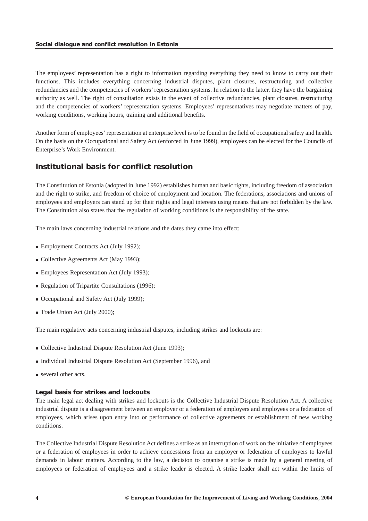<span id="page-4-0"></span>The employees' representation has a right to information regarding everything they need to know to carry out their functions. This includes everything concerning industrial disputes, plant closures, restructuring and collective redundancies and the competencies of workers' representation systems. In relation to the latter, they have the bargaining authority as well. The right of consultation exists in the event of collective redundancies, plant closures, restructuring and the competencies of workers' representation systems. Employees' representatives may negotiate matters of pay, working conditions, working hours, training and additional benefits.

Another form of employees' representation at enterprise level is to be found in the field of occupational safety and health. On the basis on the Occupational and Safety Act (enforced in June 1999), employees can be elected for the Councils of Enterprise's Work Environment.

# *Institutional basis for conflict resolution*

The Constitution of Estonia (adopted in June 1992) establishes human and basic rights, including freedom of association and the right to strike, and freedom of choice of employment and location. The federations, associations and unions of employees and employers can stand up for their rights and legal interests using means that are not forbidden by the law. The Constitution also states that the regulation of working conditions is the responsibility of the state.

The main laws concerning industrial relations and the dates they came into effect:

- Employment Contracts Act (July 1992);
- Collective Agreements Act (May 1993);
- **Employees Representation Act (July 1993);**
- Regulation of Tripartite Consultations (1996);
- Occupational and Safety Act (July 1999);
- Trade Union Act (July 2000);

The main regulative acts concerning industrial disputes, including strikes and lockouts are:

- Collective Industrial Dispute Resolution Act (June 1993);
- Individual Industrial Dispute Resolution Act (September 1996), and
- several other acts.

## *Legal basis for strikes and lockouts*

The main legal act dealing with strikes and lockouts is the Collective Industrial Dispute Resolution Act. A collective industrial dispute is a disagreement between an employer or a federation of employers and employees or a federation of employees, which arises upon entry into or performance of collective agreements or establishment of new working conditions.

The Collective Industrial Dispute Resolution Act defines a strike as an interruption of work on the initiative of employees or a federation of employees in order to achieve concessions from an employer or federation of employers to lawful demands in labour matters. According to the law, a decision to organise a strike is made by a general meeting of employees or federation of employees and a strike leader is elected. A strike leader shall act within the limits of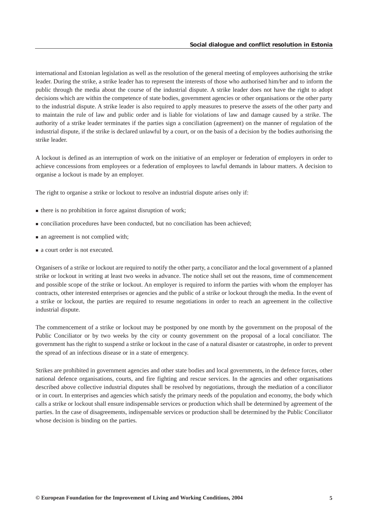international and Estonian legislation as well as the resolution of the general meeting of employees authorising the strike leader. During the strike, a strike leader has to represent the interests of those who authorised him/her and to inform the public through the media about the course of the industrial dispute. A strike leader does not have the right to adopt decisions which are within the competence of state bodies, government agencies or other organisations or the other party to the industrial dispute. A strike leader is also required to apply measures to preserve the assets of the other party and to maintain the rule of law and public order and is liable for violations of law and damage caused by a strike. The authority of a strike leader terminates if the parties sign a conciliation (agreement) on the manner of regulation of the industrial dispute, if the strike is declared unlawful by a court, or on the basis of a decision by the bodies authorising the strike leader.

A lockout is defined as an interruption of work on the initiative of an employer or federation of employers in order to achieve concessions from employees or a federation of employees to lawful demands in labour matters. A decision to organise a lockout is made by an employer.

The right to organise a strike or lockout to resolve an industrial dispute arises only if:

- there is no prohibition in force against disruption of work;
- conciliation procedures have been conducted, but no conciliation has been achieved;
- an agreement is not complied with;
- a court order is not executed.

Organisers of a strike or lockout are required to notify the other party, a conciliator and the local government of a planned strike or lockout in writing at least two weeks in advance. The notice shall set out the reasons, time of commencement and possible scope of the strike or lockout. An employer is required to inform the parties with whom the employer has contracts, other interested enterprises or agencies and the public of a strike or lockout through the media. In the event of a strike or lockout, the parties are required to resume negotiations in order to reach an agreement in the collective industrial dispute.

The commencement of a strike or lockout may be postponed by one month by the government on the proposal of the Public Conciliator or by two weeks by the city or county government on the proposal of a local conciliator. The government has the right to suspend a strike or lockout in the case of a natural disaster or catastrophe, in order to prevent the spread of an infectious disease or in a state of emergency.

Strikes are prohibited in government agencies and other state bodies and local governments, in the defence forces, other national defence organisations, courts, and fire fighting and rescue services. In the agencies and other organisations described above collective industrial disputes shall be resolved by negotiations, through the mediation of a conciliator or in court. In enterprises and agencies which satisfy the primary needs of the population and economy, the body which calls a strike or lockout shall ensure indispensable services or production which shall be determined by agreement of the parties. In the case of disagreements, indispensable services or production shall be determined by the Public Conciliator whose decision is binding on the parties.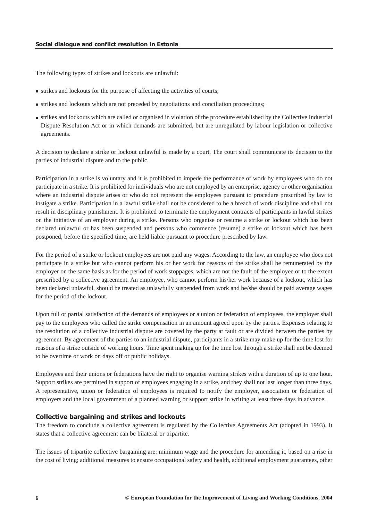The following types of strikes and lockouts are unlawful:

- strikes and lockouts for the purpose of affecting the activities of courts;
- strikes and lockouts which are not preceded by negotiations and conciliation proceedings;
- strikes and lockouts which are called or organised in violation of the procedure established by the Collective Industrial Dispute Resolution Act or in which demands are submitted, but are unregulated by labour legislation or collective agreements.

A decision to declare a strike or lockout unlawful is made by a court. The court shall communicate its decision to the parties of industrial dispute and to the public.

Participation in a strike is voluntary and it is prohibited to impede the performance of work by employees who do not participate in a strike. It is prohibited for individuals who are not employed by an enterprise, agency or other organisation where an industrial dispute arises or who do not represent the employees pursuant to procedure prescribed by law to instigate a strike. Participation in a lawful strike shall not be considered to be a breach of work discipline and shall not result in disciplinary punishment. It is prohibited to terminate the employment contracts of participants in lawful strikes on the initiative of an employer during a strike. Persons who organise or resume a strike or lockout which has been declared unlawful or has been suspended and persons who commence (resume) a strike or lockout which has been postponed, before the specified time, are held liable pursuant to procedure prescribed by law.

For the period of a strike or lockout employees are not paid any wages. According to the law, an employee who does not participate in a strike but who cannot perform his or her work for reasons of the strike shall be remunerated by the employer on the same basis as for the period of work stoppages, which are not the fault of the employee or to the extent prescribed by a collective agreement. An employee, who cannot perform his/her work because of a lockout, which has been declared unlawful, should be treated as unlawfully suspended from work and he/she should be paid average wages for the period of the lockout.

Upon full or partial satisfaction of the demands of employees or a union or federation of employees, the employer shall pay to the employees who called the strike compensation in an amount agreed upon by the parties. Expenses relating to the resolution of a collective industrial dispute are covered by the party at fault or are divided between the parties by agreement. By agreement of the parties to an industrial dispute, participants in a strike may make up for the time lost for reasons of a strike outside of working hours. Time spent making up for the time lost through a strike shall not be deemed to be overtime or work on days off or public holidays.

Employees and their unions or federations have the right to organise warning strikes with a duration of up to one hour. Support strikes are permitted in support of employees engaging in a strike, and they shall not last longer than three days. A representative, union or federation of employees is required to notify the employer, association or federation of employers and the local government of a planned warning or support strike in writing at least three days in advance.

#### *Collective bargaining and strikes and lockouts*

The freedom to conclude a collective agreement is regulated by the Collective Agreements Act (adopted in 1993). It states that a collective agreement can be bilateral or tripartite.

The issues of tripartite collective bargaining are: minimum wage and the procedure for amending it, based on a rise in the cost of living; additional measures to ensure occupational safety and health, additional employment guarantees, other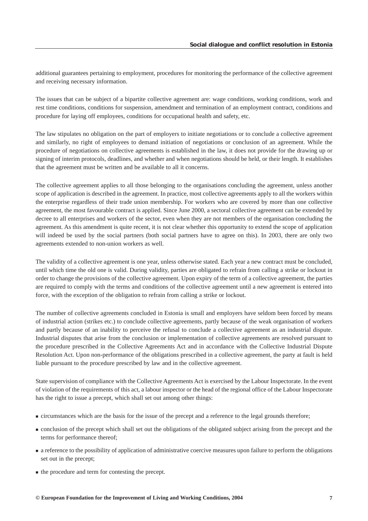additional guarantees pertaining to employment, procedures for monitoring the performance of the collective agreement and receiving necessary information.

The issues that can be subject of a bipartite collective agreement are: wage conditions, working conditions, work and rest time conditions, conditions for suspension, amendment and termination of an employment contract, conditions and procedure for laying off employees, conditions for occupational health and safety, etc.

The law stipulates no obligation on the part of employers to initiate negotiations or to conclude a collective agreement and similarly, no right of employees to demand initiation of negotiations or conclusion of an agreement. While the procedure of negotiations on collective agreements is established in the law, it does not provide for the drawing up or signing of interim protocols, deadlines, and whether and when negotiations should be held, or their length. It establishes that the agreement must be written and be available to all it concerns.

The collective agreement applies to all those belonging to the organisations concluding the agreement, unless another scope of application is described in the agreement. In practice, most collective agreements apply to all the workers within the enterprise regardless of their trade union membership. For workers who are covered by more than one collective agreement, the most favourable contract is applied. Since June 2000, a sectoral collective agreement can be extended by decree to all enterprises and workers of the sector, even when they are not members of the organisation concluding the agreement. As this amendment is quite recent, it is not clear whether this opportunity to extend the scope of application will indeed be used by the social partners (both social partners have to agree on this). In 2003, there are only two agreements extended to non-union workers as well.

The validity of a collective agreement is one year, unless otherwise stated. Each year a new contract must be concluded, until which time the old one is valid. During validity, parties are obligated to refrain from calling a strike or lockout in order to change the provisions of the collective agreement. Upon expiry of the term of a collective agreement, the parties are required to comply with the terms and conditions of the collective agreement until a new agreement is entered into force, with the exception of the obligation to refrain from calling a strike or lockout.

The number of collective agreements concluded in Estonia is small and employers have seldom been forced by means of industrial action (strikes etc.) to conclude collective agreements, partly because of the weak organisation of workers and partly because of an inability to perceive the refusal to conclude a collective agreement as an industrial dispute. Industrial disputes that arise from the conclusion or implementation of collective agreements are resolved pursuant to the procedure prescribed in the Collective Agreements Act and in accordance with the Collective Industrial Dispute Resolution Act. Upon non-performance of the obligations prescribed in a collective agreement, the party at fault is held liable pursuant to the procedure prescribed by law and in the collective agreement.

State supervision of compliance with the Collective Agreements Act is exercised by the Labour Inspectorate. In the event of violation of the requirements of this act, a labour inspector or the head of the regional office of the Labour Inspectorate has the right to issue a precept, which shall set out among other things:

- circumstances which are the basis for the issue of the precept and a reference to the legal grounds therefore;
- conclusion of the precept which shall set out the obligations of the obligated subject arising from the precept and the terms for performance thereof;
- **a** reference to the possibility of application of administrative coercive measures upon failure to perform the obligations set out in the precept;
- $\blacksquare$  the procedure and term for contesting the precept.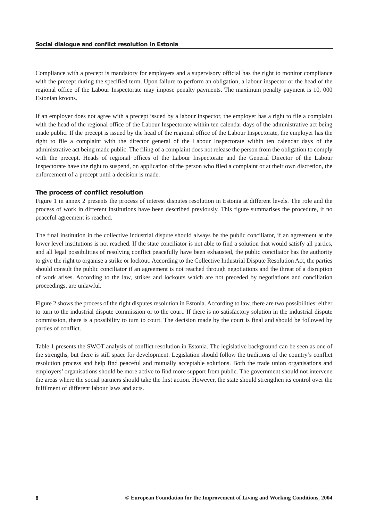Compliance with a precept is mandatory for employers and a supervisory official has the right to monitor compliance with the precept during the specified term. Upon failure to perform an obligation, a labour inspector or the head of the regional office of the Labour Inspectorate may impose penalty payments. The maximum penalty payment is 10, 000 Estonian kroons.

If an employer does not agree with a precept issued by a labour inspector, the employer has a right to file a complaint with the head of the regional office of the Labour Inspectorate within ten calendar days of the administrative act being made public. If the precept is issued by the head of the regional office of the Labour Inspectorate, the employer has the right to file a complaint with the director general of the Labour Inspectorate within ten calendar days of the administrative act being made public. The filing of a complaint does not release the person from the obligation to comply with the precept. Heads of regional offices of the Labour Inspectorate and the General Director of the Labour Inspectorate have the right to suspend, on application of the person who filed a complaint or at their own discretion, the enforcement of a precept until a decision is made.

## *The process of conflict resolution*

Figure 1 in annex 2 presents the process of interest disputes resolution in Estonia at different levels. The role and the process of work in different institutions have been described previously. This figure summarises the procedure, if no peaceful agreement is reached.

The final institution in the collective industrial dispute should always be the public conciliator, if an agreement at the lower level institutions is not reached. If the state conciliator is not able to find a solution that would satisfy all parties, and all legal possibilities of resolving conflict peacefully have been exhausted, the public conciliator has the authority to give the right to organise a strike or lockout. According to the Collective Industrial Dispute Resolution Act, the parties should consult the public conciliator if an agreement is not reached through negotiations and the threat of a disruption of work arises. According to the law, strikes and lockouts which are not preceded by negotiations and conciliation proceedings, are unlawful.

Figure 2 shows the process of the right disputes resolution in Estonia. According to law, there are two possibilities: either to turn to the industrial dispute commission or to the court. If there is no satisfactory solution in the industrial dispute commission, there is a possibility to turn to court. The decision made by the court is final and should be followed by parties of conflict.

Table 1 presents the SWOT analysis of conflict resolution in Estonia. The legislative background can be seen as one of the strengths, but there is still space for development. Legislation should follow the traditions of the country's conflict resolution process and help find peaceful and mutually acceptable solutions. Both the trade union organisations and employers' organisations should be more active to find more support from public. The government should not intervene the areas where the social partners should take the first action. However, the state should strengthen its control over the fulfilment of different labour laws and acts.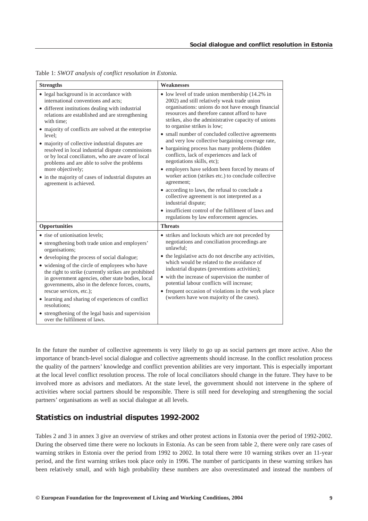| <b>Strengths</b>                                                                                                                                                                                                                                                                                                                                                                                                                                                                                                                                                                         | <b>Weaknesses</b>                                                                                                                                                                                                                                                                                                                                                                                                                                                                                                                                                                                                                                                                                                                                                                                                                                                                        |
|------------------------------------------------------------------------------------------------------------------------------------------------------------------------------------------------------------------------------------------------------------------------------------------------------------------------------------------------------------------------------------------------------------------------------------------------------------------------------------------------------------------------------------------------------------------------------------------|------------------------------------------------------------------------------------------------------------------------------------------------------------------------------------------------------------------------------------------------------------------------------------------------------------------------------------------------------------------------------------------------------------------------------------------------------------------------------------------------------------------------------------------------------------------------------------------------------------------------------------------------------------------------------------------------------------------------------------------------------------------------------------------------------------------------------------------------------------------------------------------|
| • legal background is in accordance with<br>international conventions and acts:<br>• different institutions dealing with industrial<br>relations are established and are strengthening<br>with time:<br>• majority of conflicts are solved at the enterprise<br>level:<br>• majority of collective industrial disputes are<br>resolved in local industrial dispute commissions<br>or by local conciliators, who are aware of local<br>problems and are able to solve the problems<br>more objectively;<br>• in the majority of cases of industrial disputes an<br>agreement is achieved. | • low level of trade union membership (14.2% in<br>2002) and still relatively weak trade union<br>organisations: unions do not have enough financial<br>resources and therefore cannot afford to have<br>strikes, also the administrative capacity of unions<br>to organise strikes is low;<br>• small number of concluded collective agreements<br>and very low collective bargaining coverage rate,<br>• bargaining process has many problems (hidden<br>conflicts, lack of experiences and lack of<br>negotiations skills, etc);<br>• employers have seldom been forced by means of<br>worker action (strikes etc.) to conclude collective<br>agreement;<br>• according to laws, the refusal to conclude a<br>collective agreement is not interpreted as a<br>industrial dispute;<br>• insufficient control of the fulfilment of laws and<br>regulations by law enforcement agencies. |
| Opportunities                                                                                                                                                                                                                                                                                                                                                                                                                                                                                                                                                                            | <b>Threats</b>                                                                                                                                                                                                                                                                                                                                                                                                                                                                                                                                                                                                                                                                                                                                                                                                                                                                           |
| • rise of unionisation levels;<br>• strengthening both trade union and employers'<br>organisations;<br>• developing the process of social dialogue;<br>• widening of the circle of employees who have<br>the right to strike (currently strikes are prohibited<br>in government agencies, other state bodies, local<br>governments, also in the defence forces, courts,<br>rescue services, etc.);<br>• learning and sharing of experiences of conflict<br>resolutions:<br>• strengthening of the legal basis and supervision<br>over the fulfilment of laws.                            | • strikes and lockouts which are not preceded by<br>negotiations and conciliation proceedings are<br>unlawful:<br>• the legislative acts do not describe any activities,<br>which would be related to the avoidance of<br>industrial disputes (preventions activities);<br>• with the increase of supervision the number of<br>potential labour conflicts will increase;<br>• frequent occasion of violations in the work place<br>(workers have won majority of the cases).                                                                                                                                                                                                                                                                                                                                                                                                             |

<span id="page-9-0"></span>Table 1: *SWOT analysis of conflict resolution in Estonia.*

In the future the number of collective agreements is very likely to go up as social partners get more active. Also the importance of branch-level social dialogue and collective agreements should increase. In the conflict resolution process the quality of the partners' knowledge and conflict prevention abilities are very important. This is especially important at the local level conflict resolution process. The role of local conciliators should change in the future. They have to be involved more as advisors and mediators. At the state level, the government should not intervene in the sphere of activities where social partners should be responsible. There is still need for developing and strengthening the social partners' organisations as well as social dialogue at all levels.

# *Statistics on industrial disputes 1992-2002*

Tables 2 and 3 in annex 3 give an overview of strikes and other protest actions in Estonia over the period of 1992-2002. During the observed time there were no lockouts in Estonia. As can be seen from table 2, there were only rare cases of warning strikes in Estonia over the period from 1992 to 2002. In total there were 10 warning strikes over an 11-year period, and the first warning strikes took place only in 1996. The number of participants in these warning strikes has been relatively small, and with high probability these numbers are also overestimated and instead the numbers of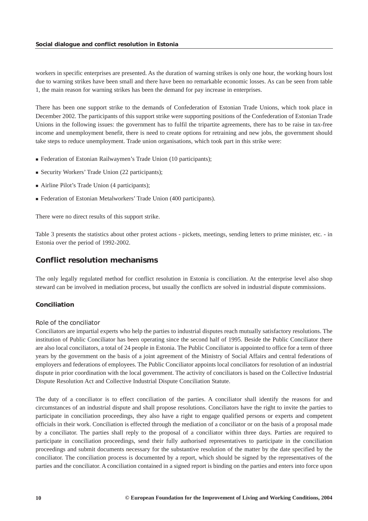<span id="page-10-0"></span>workers in specific enterprises are presented. As the duration of warning strikes is only one hour, the working hours lost due to warning strikes have been small and there have been no remarkable economic losses. As can be seen from table 1, the main reason for warning strikes has been the demand for pay increase in enterprises.

There has been one support strike to the demands of Confederation of Estonian Trade Unions, which took place in December 2002. The participants of this support strike were supporting positions of the Confederation of Estonian Trade Unions in the following issues: the government has to fulfil the tripartite agreements, there has to be raise in tax-free income and unemployment benefit, there is need to create options for retraining and new jobs, the government should take steps to reduce unemployment. Trade union organisations, which took part in this strike were:

- Federation of Estonian Railwaymen's Trade Union (10 participants);
- Security Workers' Trade Union (22 participants);
- Airline Pilot's Trade Union (4 participants);
- Federation of Estonian Metalworkers' Trade Union (400 participants).

There were no direct results of this support strike.

Table 3 presents the statistics about other protest actions - pickets, meetings, sending letters to prime minister, etc. - in Estonia over the period of 1992-2002.

## *Conflict resolution mechanisms*

The only legally regulated method for conflict resolution in Estonia is conciliation. At the enterprise level also shop steward can be involved in mediation process, but usually the conflicts are solved in industrial dispute commissions.

## *Conciliation*

## *Role of the conciliator*

Conciliators are impartial experts who help the parties to industrial disputes reach mutually satisfactory resolutions. The institution of Public Conciliator has been operating since the second half of 1995. Beside the Public Conciliator there are also local conciliators, a total of 24 people in Estonia. The Public Conciliator is appointed to office for a term of three years by the government on the basis of a joint agreement of the Ministry of Social Affairs and central federations of employers and federations of employees. The Public Conciliator appoints local conciliators for resolution of an industrial dispute in prior coordination with the local government. The activity of conciliators is based on the Collective Industrial Dispute Resolution Act and Collective Industrial Dispute Conciliation Statute.

The duty of a conciliator is to effect conciliation of the parties. A conciliator shall identify the reasons for and circumstances of an industrial dispute and shall propose resolutions. Conciliators have the right to invite the parties to participate in conciliation proceedings, they also have a right to engage qualified persons or experts and competent officials in their work. Conciliation is effected through the mediation of a conciliator or on the basis of a proposal made by a conciliator. The parties shall reply to the proposal of a conciliator within three days. Parties are required to participate in conciliation proceedings, send their fully authorised representatives to participate in the conciliation proceedings and submit documents necessary for the substantive resolution of the matter by the date specified by the conciliator. The conciliation process is documented by a report, which should be signed by the representatives of the parties and the conciliator. A conciliation contained in a signed report is binding on the parties and enters into force upon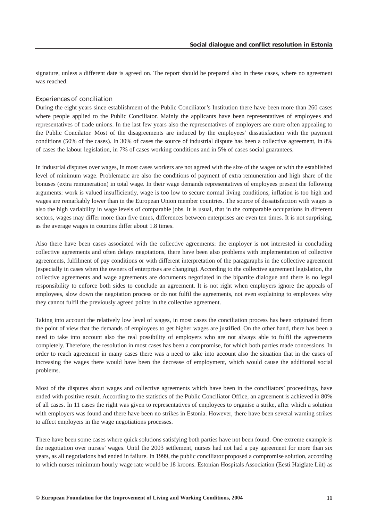signature, unless a different date is agreed on. The report should be prepared also in these cases, where no agreement was reached.

#### *Experiences of conciliation*

During the eight years since establishment of the Public Conciliator's Institution there have been more than 260 cases where people applied to the Public Conciliator. Mainly the applicants have been representatives of employees and representatives of trade unions. In the last few years also the representatives of employers are more often appealing to the Public Concilator. Most of the disagreements are induced by the employees' dissatisfaction with the payment conditions (50% of the cases). In 30% of cases the source of industrial dispute has been a collective agreement, in 8% of cases the labour legislation, in 7% of cases working conditions and in 5% of cases social guarantees.

In industrial disputes over wages, in most cases workers are not agreed with the size of the wages or with the established level of minimum wage. Problematic are also the conditions of payment of extra remuneration and high share of the bonuses (extra remuneration) in total wage. In their wage demands representatives of employees present the following arguments: work is valued insufficiently, wage is too low to secure normal living conditions, inflation is too high and wages are remarkably lower than in the European Union member countries. The source of dissatisfaction with wages is also the high variability in wage levels of comparable jobs. It is usual, that in the comparable occupations in different sectors, wages may differ more than five times, differences between enterprises are even ten times. It is not surprising, as the average wages in counties differ about 1.8 times.

Also there have been cases associated with the collective agreements: the employer is not interested in concluding collective agreements and often delays negotations, there have been also problems with implementation of collective agreements, fulfilment of pay conditions or with different interpretation of the paragaraphs in the collective agreement (especially in cases when the owners of enterprises are changing). According to the collective agreement legislation, the collective agreements and wage agreements are documents negotiated in the bipartite dialogue and there is no legal responsibility to enforce both sides to conclude an agreement. It is not right when employers ignore the appeals of employees, slow down the negotation process or do not fulfil the agreements, not even explaining to employees why they cannot fulfil the previously agreed points in the collective agreement.

Taking into account the relatively low level of wages, in most cases the conciliation process has been originated from the point of view that the demands of employees to get higher wages are justified. On the other hand, there has been a need to take into account also the real possibility of employers who are not always able to fulfil the agreements completely. Therefore, the resolution in most cases has been a compromise, for which both parties made concessions. In order to reach agreement in many cases there was a need to take into account also the situation that in the cases of increasing the wages there would have been the decrease of employment, which would cause the additional social problems.

Most of the disputes about wages and collective agreements which have been in the conciliators' proceedings, have ended with positive result. According to the statistics of the Public Conciliator Office, an agreement is achieved in 80% of all cases. In 11 cases the right was given to representatives of employees to organise a strike, after which a solution with employers was found and there have been no strikes in Estonia. However, there have been several warning strikes to affect employers in the wage negotiations processes.

There have been some cases where quick solutions satisfying both parties have not been found. One extreme example is the negotiation over nurses' wages. Until the 2003 settlement, nurses had not had a pay agreement for more than six years, as all negotiations had ended in failure. In 1999, the public conciliator proposed a compromise solution, according to which nurses minimum hourly wage rate would be 18 kroons. Estonian Hospitals Association (Eesti Haiglate Liit) as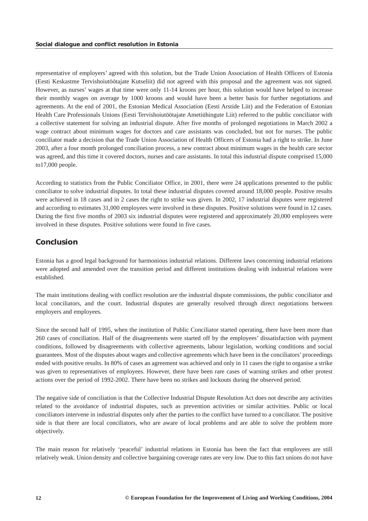<span id="page-12-0"></span>representative of employers' agreed with this solution, but the Trade Union Association of Health Officers of Estonia (Eesti Keskastme Tervishoiutöötajate Kutseliit) did not agreed with this proposal and the agreement was not signed. However, as nurses' wages at that time were only 11-14 kroons per hour, this solution would have helped to increase their monthly wages on average by 1000 kroons and would have been a better basis for further negotiations and agreements. At the end of 2001, the Estonian Medical Association (Eesti Arstide Liit) and the Federation of Estonian Health Care Professionals Unions (Eesti Tervishoiutöötajate Ametiühingute Liit) referred to the public conciliator with a collective statement for solving an industrial dispute. After five months of prolonged negotiations in March 2002 a wage contract about minimum wages for doctors and care assistants was concluded, but not for nurses. The public conciliator made a decision that the Trade Union Association of Health Officers of Estonia had a right to strike. In June 2003, after a four month prolonged conciliation process, a new contract about minimum wages in the health care sector was agreed, and this time it covered doctors, nurses and care assistants. In total this industrial dispute comprised 15,000 to17,000 people.

According to statistics from the Public Conciliator Office, in 2001, there were 24 applications presented to the public conciliator to solve industrial disputes. In total these industrial disputes covered around 18,000 people. Positive results were achieved in 18 cases and in 2 cases the right to strike was given. In 2002, 17 industrial disputes were registered and according to estimates 31,000 employees were involved in these disputes. Positive solutions were found in 12 cases. During the first five months of 2003 six industrial disputes were registered and approximately 20,000 employees were involved in these disputes. Positive solutions were found in five cases.

# *Conclusion*

Estonia has a good legal background for harmonious industrial relations. Different laws concerning industrial relations were adopted and amended over the transition period and different institutions dealing with industrial relations were established.

The main institutions dealing with conflict resolution are the industrial dispute commissions, the public conciliator and local conciliators, and the court. Industrial disputes are generally resolved through direct negotiations between employers and employees.

Since the second half of 1995, when the institution of Public Conciliator started operating, there have been more than 260 cases of conciliation. Half of the disagreements were started off by the employees' dissatisfaction with payment conditions, followed by disagreements with collective agreements, labour legislation, working conditions and social guarantees. Most of the disputes about wages and collective agreements which have been in the conciliators' proceedings ended with positive results. In 80% of cases an agreement was achieved and only in 11 cases the right to organise a strike was given to representatives of employees. However, there have been rare cases of warning strikes and other protest actions over the period of 1992-2002. There have been no strikes and lockouts during the observed period.

The negative side of conciliation is that the Collective Industrial Dispute Resolution Act does not describe any activities related to the avoidance of industrial disputes, such as prevention activities or similar activities. Public or local conciliators intervene in industrial disputes only after the parties to the conflict have turned to a conciliator. The positive side is that there are local conciliators, who are aware of local problems and are able to solve the problem more objectively.

The main reason for relatively 'peaceful' industrial relations in Estonia has been the fact that employees are still relatively weak. Union density and collective bargaining coverage rates are very low. Due to this fact unions do not have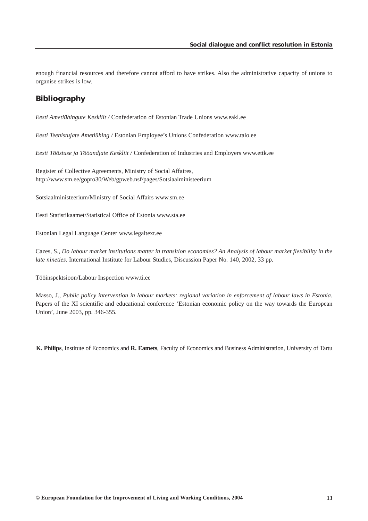<span id="page-13-0"></span>enough financial resources and therefore cannot afford to have strikes. Also the administrative capacity of unions to organise strikes is low.

# *Bibliography*

*Eesti Ametiühingute Keskliit /* Confederation of Estonian Trade Unions www.eakl.ee

*Eesti Teenistujate Ametiühing /* Estonian Employee's Unions Confederation www.talo.ee

*Eesti Tööstuse ja Tööandjate Keskliit /* Confederation of Industries and Employers www.ettk.ee

Register of Collective Agreements, Ministry of Social Affaires, http://www.sm.ee/gopro30/Web/gpweb.nsf/pages/Sotsiaalministeerium

Sotsiaalministeerium/Ministry of Social Affairs www.sm.ee

Eesti Statistikaamet/Statistical Office of Estonia www.sta.ee

Estonian Legal Language Center www.legaltext.ee

Cazes, S., *Do labour market institutions matter in transition economies? An Analysis of labour market flexibility in the late nineties.* International Institute for Labour Studies, Discussion Paper No. 140, 2002, 33 pp.

Tööinspektsioon/Labour Inspection www.ti.ee

Masso, J., *Public policy intervention in labour markets: regional variation in enforcement of labour laws in Estonia*. Papers of the XI scientific and educational conference 'Estonian economic policy on the way towards the European Union', June 2003, pp. 346-355.

**K. Philips**, Institute of Economics and **R. Eamets**, Faculty of Economics and Business Administration, University of Tartu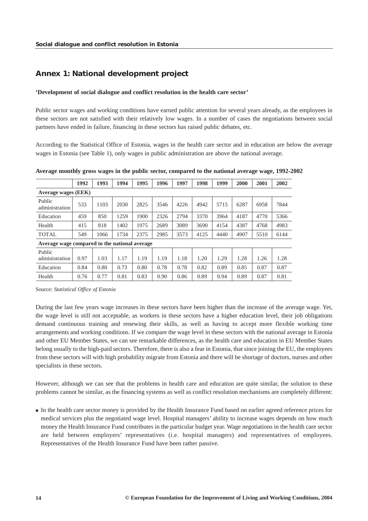# <span id="page-14-0"></span>*Annex 1: National development project*

## **'Development of social dialogue and conflict resolution in the health care sector'**

Public sector wages and working conditions have earned public attention for several years already, as the employees in these sectors are not satisfied with their relatively low wages. In a number of cases the negotiations between social partners have ended in failure, financing in these sectors has raised public debates, etc.

According to the Statistical Office of Estonia, wages in the health care sector and in education are below the average wages in Estonia (see Table 1), only wages in public administration are above the national average.

|                            | 1992 | 1993 | 1994 | 1995 | 1996 | 1997 | 1998 | 1999 | 2000 | 2001 | 2002 |
|----------------------------|------|------|------|------|------|------|------|------|------|------|------|
| <b>Average wages (EEK)</b> |      |      |      |      |      |      |      |      |      |      |      |
| Public<br>administration   | 533  | 1103 | 2030 | 2825 | 3546 | 4226 | 4942 | 5715 | 6287 | 6958 | 7844 |
| Education                  | 459  | 850  | 1259 | 1900 | 2326 | 2794 | 3370 | 3964 | 4187 | 4770 | 5366 |
| Health                     | 415  | 818  | 1402 | 1975 | 2689 | 3089 | 3690 | 4154 | 4387 | 4768 | 4983 |
| <b>TOTAL</b>               | 549  | 1066 | 1734 | 2375 | 2985 | 3573 | 4125 | 4440 | 4907 | 5510 | 6144 |

**Average monthly gross wages in the public sector, compared to the national average wage, 1992-2002**

**Average wage compared to the national average** 

| Public<br>administration | 0.97 | 1.03 | 17   | 1.19 | 1.19 | 1.18 | 1.20 | 1.29 | 1.28 | 1.26 | 1.28 |
|--------------------------|------|------|------|------|------|------|------|------|------|------|------|
| Education                | 0.84 | 0.80 | 0.73 | 0.80 | 0.78 | 0.78 | 0.82 | 0.89 | 0.85 | 0.87 | 0.87 |
| Health                   | 0.76 | 0.77 | 0.81 | 0.83 | 0.90 | 0.86 | 0.89 | 0.94 | 0.89 | 0.87 | 0.81 |

Source: *Statistical Office of Estonia*

During the last few years wage increases in these sectors have been higher than the increase of the average wage. Yet, the wage level is still not acceptable, as workers in these sectors have a higher education level, their job obligations demand continuous training and renewing their skills, as well as having to accept more flexible working time arrangements and working conditions. If we compare the wage level in these sectors with the national average in Estonia and other EU Member States, we can see remarkable differences, as the health care and education in EU Member States belong usually to the high-paid sectors. Therefore, there is also a fear in Estonia, that since joining the EU, the employees from these sectors will with high probability migrate from Estonia and there will be shortage of doctors, nurses and other specialists in these sectors.

However, although we can see that the problems in health care and education are quite similar, the solution to these problems cannot be similar, as the financing systems as well as conflict resolution mechanisms are completely different:

 In the health care sector money is provided by the Health Insurance Fund based on earlier agreed reference prices for medical services plus the negotiated wage level. Hospital managers' ability to increase wages depends on how much money the Health Insurance Fund contributes in the particular budget year. Wage negotiations in the health care sector are held between employers' representatives (i.e. hospital managers) and representatives of employees. Representatives of the Health Insurance Fund have been rather passive.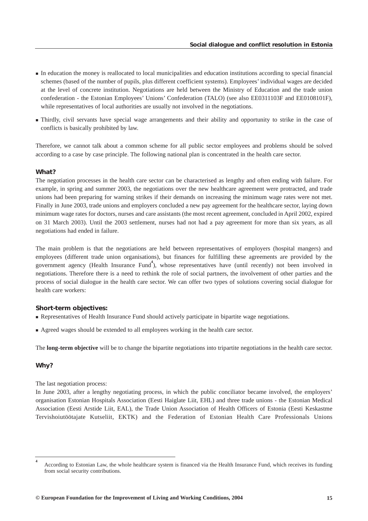- In education the money is reallocated to local municipalities and education institutions according to special financial schemes (based of the number of pupils, plus different coefficient systems). Employees' individual wages are decided at the level of concrete institution. Negotiations are held between the Ministry of Education and the trade union confederation - the Estonian Employees' Unions' Confederation (TALO) (see also EE0311103F and EE0108101F), while representatives of local authorities are usually not involved in the negotiations.
- Thirdly, civil servants have special wage arrangements and their ability and opportunity to strike in the case of conflicts is basically prohibited by law.

Therefore, we cannot talk about a common scheme for all public sector employees and problems should be solved according to a case by case principle. The following national plan is concentrated in the health care sector.

## *What?*

The negotiation processes in the health care sector can be characterised as lengthy and often ending with failure. For example, in spring and summer 2003, the negotiations over the new healthcare agreement were protracted, and trade unions had been preparing for warning strikes if their demands on increasing the minimum wage rates were not met. Finally in June 2003, trade unions and employers concluded a new pay agreement for the healthcare sector, laying down minimum wage rates for doctors, nurses and care assistants (the most recent agreement, concluded in April 2002, expired on 31 March 2003). Until the 2003 settlement, nurses had not had a pay agreement for more than six years, as all negotiations had ended in failure.

The main problem is that the negotiations are held between representatives of employers (hospital mangers) and employees (different trade union organisations), but finances for fulfilling these agreements are provided by the government agency (Health Insurance Fund<sup>4</sup>), whose representatives have (until recently) not been involved in negotiations. Therefore there is a need to rethink the role of social partners, the involvement of other parties and the process of social dialogue in the health care sector. We can offer two types of solutions covering social dialogue for health care workers:

## *Short-term objectives:*

- Representatives of Health Insurance Fund should actively participate in bipartite wage negotiations.
- Agreed wages should be extended to all employees working in the health care sector.

The **long-term objective** will be to change the bipartite negotiations into tripartite negotiations in the health care sector.

## *Why?*

The last negotiation process:

In June 2003, after a lengthy negotiating process, in which the public conciliator became involved, the employers' organisation Estonian Hospitals Association (Eesti Haiglate Liit, EHL) and three trade unions - the Estonian Medical Association (Eesti Arstide Liit, EAL), the Trade Union Association of Health Officers of Estonia (Eesti Keskastme Tervishoiutöötajate Kutseliit, EKTK) and the Federation of Estonian Health Care Professionals Unions

**<sup>4</sup>** According to Estonian Law, the whole healthcare system is financed via the Health Insurance Fund, which receives its funding from social security contributions.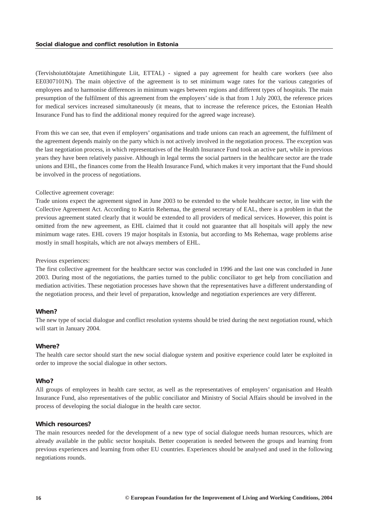(Tervishoiutöötajate Ametiühingute Liit, ETTAL) - signed a pay agreement for health care workers (see also EE0307101N). The main objective of the agreement is to set minimum wage rates for the various categories of employees and to harmonise differences in minimum wages between regions and different types of hospitals. The main presumption of the fulfilment of this agreement from the employers' side is that from 1 July 2003, the reference prices for medical services increased simultaneously (it means, that to increase the reference prices, the Estonian Health Insurance Fund has to find the additional money required for the agreed wage increase).

From this we can see, that even if employers' organisations and trade unions can reach an agreement, the fulfilment of the agreement depends mainly on the party which is not actively involved in the negotiation process. The exception was the last negotiation process, in which representatives of the Health Insurance Fund took an active part, while in previous years they have been relatively passive. Although in legal terms the social partners in the healthcare sector are the trade unions and EHL, the finances come from the Health Insurance Fund, which makes it very important that the Fund should be involved in the process of negotiations.

#### Collective agreement coverage:

Trade unions expect the agreement signed in June 2003 to be extended to the whole healthcare sector, in line with the Collective Agreement Act. According to Katrin Rehemaa, the general secretary of EAL, there is a problem in that the previous agreement stated clearly that it would be extended to all providers of medical services. However, this point is omitted from the new agreement, as EHL claimed that it could not guarantee that all hospitals will apply the new minimum wage rates. EHL covers 19 major hospitals in Estonia, but according to Ms Rehemaa, wage problems arise mostly in small hospitals, which are not always members of EHL.

### Previous experiences:

The first collective agreement for the healthcare sector was concluded in 1996 and the last one was concluded in June 2003. During most of the negotiations, the parties turned to the public conciliator to get help from conciliation and mediation activities. These negotiation processes have shown that the representatives have a different understanding of the negotiation process, and their level of preparation, knowledge and negotiation experiences are very different.

## *When?*

The new type of social dialogue and conflict resolution systems should be tried during the next negotiation round, which will start in January 2004.

#### *Where?*

The health care sector should start the new social dialogue system and positive experience could later be exploited in order to improve the social dialogue in other sectors.

#### *Who?*

All groups of employees in health care sector, as well as the representatives of employers' organisation and Health Insurance Fund, also representatives of the public conciliator and Ministry of Social Affairs should be involved in the process of developing the social dialogue in the health care sector.

## *Which resources?*

The main resources needed for the development of a new type of social dialogue needs human resources, which are already available in the public sector hospitals. Better cooperation is needed between the groups and learning from previous experiences and learning from other EU countries. Experiences should be analysed and used in the following negotiations rounds.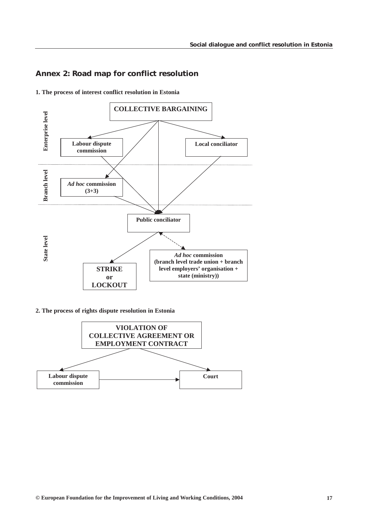# <span id="page-17-0"></span>*Annex 2: Road map for conflict resolution*



**1. The process of interest conflict resolution in Estonia**

## **2. The process of rights dispute resolution in Estonia**

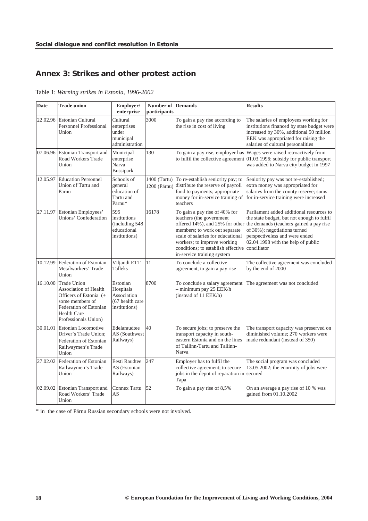# <span id="page-18-0"></span>*Annex 3: Strikes and other protest action*

Table 1: *Warning strikes in Estonia, 1996-2002*

| <b>Date</b> | <b>Trade union</b>                                                                                                                                                             | Employer/<br>enterprise                                                  | Number of<br>participants    | <b>Demands</b>                                                                                                                                                                                                                                                                    | <b>Results</b>                                                                                                                                                                                                                            |
|-------------|--------------------------------------------------------------------------------------------------------------------------------------------------------------------------------|--------------------------------------------------------------------------|------------------------------|-----------------------------------------------------------------------------------------------------------------------------------------------------------------------------------------------------------------------------------------------------------------------------------|-------------------------------------------------------------------------------------------------------------------------------------------------------------------------------------------------------------------------------------------|
| 22.02.96    | <b>Estonian Cultural</b><br><b>Personnel Professional</b><br>Union                                                                                                             | Cultural<br>enterprises<br>under<br>municipal<br>administration          | 3000                         | To gain a pay rise according to<br>the rise in cost of living                                                                                                                                                                                                                     | The salaries of employees working for<br>institutions financed by state budget were<br>increased by 30%, additional 50 million<br>EEK was appropriated for raising the<br>salaries of cultural personalities                              |
|             | 07.06.96 Estonian Transport and<br>Road Workers Trade<br>Union                                                                                                                 | Municipal<br>enterprise<br>Narva<br><b>Bussipark</b>                     | 130                          | to fulfil the collective agreement                                                                                                                                                                                                                                                | To gain a pay rise, employer has Wages were raised retroactively from<br>01.03.1996; subsidy for public transport<br>was added to Narva city budget in 1997                                                                               |
| 12.05.97    | <b>Education Personnel</b><br>Union of Tartu and<br>Pärnu                                                                                                                      | Schools of<br>general<br>education of<br>Tartu and<br>Pärnu*             | 1400 (Tartu)<br>1200 (Pärnu) | To re-establish seniority pay; to<br>distribute the reserve of payroll<br>fund to payments; appropriate<br>money for in-service training of<br>teachers                                                                                                                           | Seniority pay was not re-established;<br>extra money was appropriated for<br>salaries from the county reserve; sums<br>for in-service training were increased                                                                             |
| 27.11.97    | Estonian Employees'<br>Unions' Confederation                                                                                                                                   | 595<br>institutions<br>(including 548)<br>educational<br>institutions)   | 16178                        | To gain a pay rise of 40% for<br>teachers (the government<br>offered 14%), and 25% for other<br>members; to work out separate<br>scale of salaries for educational<br>workers; to improve working<br>conditions; to establish effective conciliator<br>in-service training system | Parliament added additional resources to<br>the state budget, but not enough to fulfil<br>the demands (teachers gained a pay rise<br>of 30%); negotiations turned<br>perspectiveless and were ended<br>02.04.1998 with the help of public |
| 10.12.99    | Federation of Estonian<br>Metalworkers' Trade<br>Union                                                                                                                         | Viljandi ETT<br>Talleks                                                  | 11                           | To conclude a collective<br>agreement, to gain a pay rise                                                                                                                                                                                                                         | The collective agreement was concluded<br>by the end of 2000                                                                                                                                                                              |
| 16.10.00    | <b>Trade Union</b><br><b>Association of Health</b><br>Officers of Estonia (+<br>some members of<br><b>Federation of Estonian</b><br><b>Health Care</b><br>Professionals Union) | Estonian<br>Hospitals<br>Association<br>(67 health care<br>institutions) | 8700                         | To conclude a salary agreement<br>- minimum pay 25 EEK/h<br>(instead of 11 EEK/h)                                                                                                                                                                                                 | The agreement was not concluded                                                                                                                                                                                                           |
| 30.01.01    | <b>Estonian Locomotive</b><br>Driver's Trade Union;<br>Federation of Estonian<br>Railwaymen's Trade<br>Union                                                                   | Edelaraudtee<br>AS (Southwest<br>Railways)                               | 40                           | To secure jobs; to preserve the<br>transport capacity in south-<br>eastern Estonia and on the lines<br>of Tallinn-Tartu and Tallinn-<br>Narva                                                                                                                                     | The transport capacity was preserved on<br>diminished volume; 270 workers were<br>made redundant (instead of 350)                                                                                                                         |
| 27.02.02    | Federation of Estonian<br>Railwaymen's Trade<br>Union                                                                                                                          | Eesti Raudtee<br>AS (Estonian<br>Railways)                               | 247                          | Employer has to fulfil the<br>collective agreement; to secure<br>jobs in the depot of reparation in<br>Tapa                                                                                                                                                                       | The social program was concluded<br>13.05.2002; the enormity of jobs were<br>secured                                                                                                                                                      |
| 02.09.02    | <b>Estonian Transport and</b><br>Road Workers' Trade<br>Union                                                                                                                  | Connex Tartu<br>AS                                                       | 52                           | To gain a pay rise of 8,5%                                                                                                                                                                                                                                                        | On an average a pay rise of 10 % was<br>gained from 01.10.2002                                                                                                                                                                            |

\* in the case of Pärnu Russian secondary schools were not involved.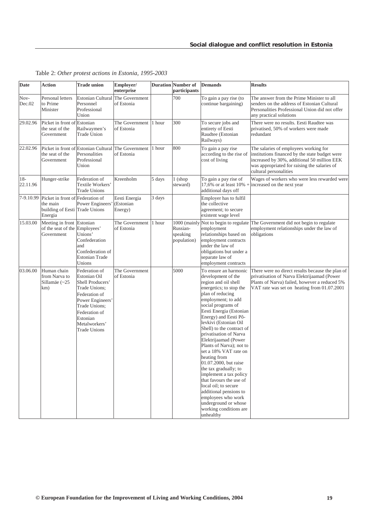| <b>Date</b>       | <b>Action</b>                                                               | <b>Trade union</b>                                                                                                                                                                            | Employer/<br>enterprise               |        | <b>Duration</b> Number of<br>participants           | <b>Demands</b>                                                                                                                                                                                                                                                                                                                                                                                                                                                                                                                                                                                                                                | <b>Results</b>                                                                                                                                                                                                   |
|-------------------|-----------------------------------------------------------------------------|-----------------------------------------------------------------------------------------------------------------------------------------------------------------------------------------------|---------------------------------------|--------|-----------------------------------------------------|-----------------------------------------------------------------------------------------------------------------------------------------------------------------------------------------------------------------------------------------------------------------------------------------------------------------------------------------------------------------------------------------------------------------------------------------------------------------------------------------------------------------------------------------------------------------------------------------------------------------------------------------------|------------------------------------------------------------------------------------------------------------------------------------------------------------------------------------------------------------------|
| Nov-<br>Dec.02    | Personal letters<br>to Prime<br>Minister                                    | Estonian Cultural The Government<br>Personnel<br>Professional<br>Union                                                                                                                        | of Estonia                            |        | 700                                                 | To gain a pay rise (to<br>continue bargaining)                                                                                                                                                                                                                                                                                                                                                                                                                                                                                                                                                                                                | The answer from the Prime Minister to all<br>senders on the address of Estonian Cultural<br>Personalities Professional Union did not offer<br>any practical solutions                                            |
| 29.02.96          | Picket in front of<br>the seat of the<br>Government                         | Estonian<br>Railwaymen's<br><b>Trade Union</b>                                                                                                                                                | The Government<br>of Estonia          | 1 hour | 300                                                 | To secure jobs and<br>entirety of Eesti<br>Raudtee (Estonian<br>Railways)                                                                                                                                                                                                                                                                                                                                                                                                                                                                                                                                                                     | There were no results. Eesti Raudtee was<br>privatised, 50% of workers were made<br>redundant                                                                                                                    |
| 22.02.96          | Picket in front of<br>the seat of the<br>Government                         | <b>Estonian Cultural</b><br>Personalities<br>Professional<br>Union                                                                                                                            | The Government<br>of Estonia          | 1 hour | 800                                                 | To gain a pay rise<br>according to the rise of<br>cost of living                                                                                                                                                                                                                                                                                                                                                                                                                                                                                                                                                                              | The salaries of employees working for<br>institutions financed by the state budget were<br>increased by 30%, additional 50 million EEK<br>was appropriated for raising the salaries of<br>cultural personalities |
| $18-$<br>22.11.96 | Hunger-strike                                                               | Federation of<br>Textile Workers'<br><b>Trade Unions</b>                                                                                                                                      | Kreenholm                             | 5 days | 1 (shop<br>steward)                                 | To gain a pay rise of<br>17,6% or at least 10% +<br>additional days off                                                                                                                                                                                                                                                                                                                                                                                                                                                                                                                                                                       | Wages of workers who were less rewarded were<br>increased on the next year                                                                                                                                       |
| 7-9.10.99         | Picket in front of<br>the main<br>building of Eesti Trade Unions<br>Energia | Federation of<br>Power Engineers'                                                                                                                                                             | Eesti Energia<br>(Estonian<br>Energy) | 3 days |                                                     | Employer has to fulfil<br>the collective<br>agreement; to secure<br>existent wage level                                                                                                                                                                                                                                                                                                                                                                                                                                                                                                                                                       |                                                                                                                                                                                                                  |
| 15.03.00          | Meeting in front Estonian<br>of the seat of the Employees'<br>Government    | Unions'<br>Confederation<br>and<br>Confederation of<br><b>Estonian Trade</b><br>Unions                                                                                                        | The Government<br>of Estonia          | 1 hour | 1000 (mainly<br>Russian-<br>speaking<br>population) | Not to begin to regulate<br>employment<br>relationships based on<br>employment contracts<br>under the law of<br>obligations but under a<br>separate law of<br>employment contracts                                                                                                                                                                                                                                                                                                                                                                                                                                                            | The Government did not begin to regulate<br>employment relationships under the law of<br>obligations                                                                                                             |
| 03.06.00          | Human chain<br>from Narva to<br>Sillamäe (~25<br>km)                        | Federation of<br>Estonian Oil<br>Shell Producers'<br>Trade Unions;<br>Federation of<br>Power Engineers'<br>Trade Unions;<br>Federation of<br>Estonian<br>Metalworkers'<br><b>Trade Unions</b> | The Government<br>of Estonia          |        | 5000                                                | To ensure an harmonic<br>development of the<br>region and oil shell<br>energetics; to stop the<br>plan of reducing<br>employment; to add<br>social programs of<br>Eesti Energia (Estonian<br>Energy) and Eesti Põ-<br>levkivi (Estonian Oil<br>Shell) to the contract of<br>privatisation of Narva<br>Elektrijaamad (Power<br>Plants of Narva); not to<br>set a 18% VAT rate on<br>heating from<br>01.07.2000, but raise<br>the tax gradually; to<br>implement a tax policy<br>that favours the use of<br>local oil; to secure<br>additional pensions to<br>employees who work<br>underground or whose<br>working conditions are<br>unhealthy | There were no direct results because the plan of<br>privatisation of Narva Elektrijaamad (Power<br>Plants of Narva) failed, however a reduced 5%<br>VAT rate was set on heating from 01.07.2001                  |

Table 2: *Other protest actions in Estonia, 1995-2003*